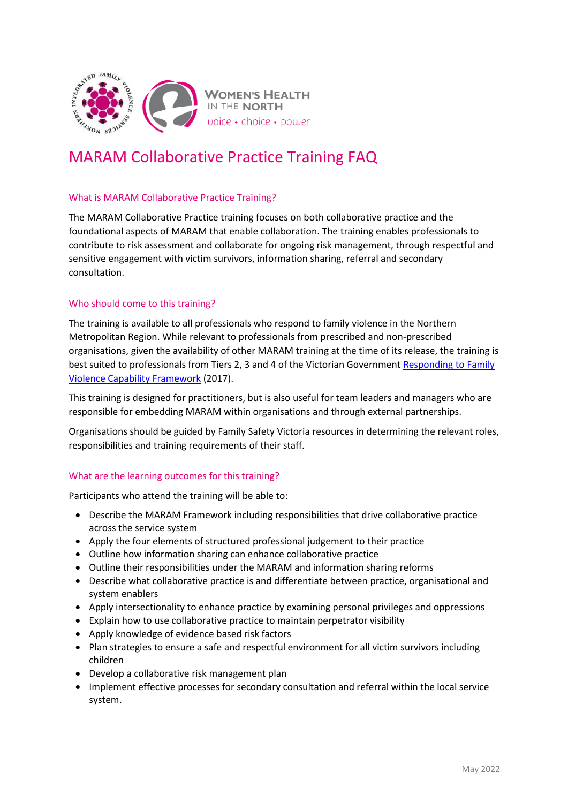

# MARAM Collaborative Practice Training FAQ

## What is MARAM Collaborative Practice Training?

The MARAM Collaborative Practice training focuses on both collaborative practice and the foundational aspects of MARAM that enable collaboration. The training enables professionals to contribute to risk assessment and collaborate for ongoing risk management, through respectful and sensitive engagement with victim survivors, information sharing, referral and secondary consultation.

### Who should come to this training?

The training is available to all professionals who respond to family violence in the Northern Metropolitan Region. While relevant to professionals from prescribed and non-prescribed organisations, given the availability of other MARAM training at the time of its release, the training is best suited to professionals from Tiers 2, 3 and 4 of the Victorian Governmen[t Responding to Family](https://www.vic.gov.au/family-violence-capability-frameworks)  [Violence Capability Framework](https://www.vic.gov.au/family-violence-capability-frameworks) (2017).

This training is designed for practitioners, but is also useful for team leaders and managers who are responsible for embedding MARAM within organisations and through external partnerships.

Organisations should be guided by Family Safety Victoria resources in determining the relevant roles, responsibilities and training requirements of their staff.

### What are the learning outcomes for this training?

Participants who attend the training will be able to:

- Describe the MARAM Framework including responsibilities that drive collaborative practice across the service system
- Apply the four elements of structured professional judgement to their practice
- Outline how information sharing can enhance collaborative practice
- Outline their responsibilities under the MARAM and information sharing reforms
- Describe what collaborative practice is and differentiate between practice, organisational and system enablers
- Apply intersectionality to enhance practice by examining personal privileges and oppressions
- Explain how to use collaborative practice to maintain perpetrator visibility
- Apply knowledge of evidence based risk factors
- Plan strategies to ensure a safe and respectful environment for all victim survivors including children
- Develop a collaborative risk management plan
- Implement effective processes for secondary consultation and referral within the local service system.